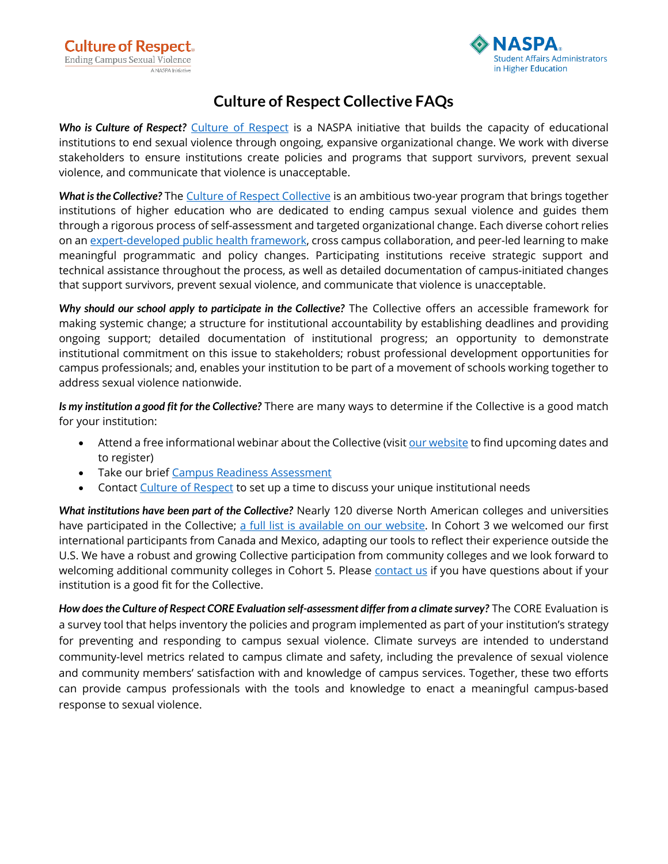

## **Culture of Respect Collective FAQs**

*Who is Culture of Respect?* [Culture of Respect](https://cultureofrespect.org/) is a NASPA initiative that builds the capacity of educational institutions to end sexual violence through ongoing, expansive organizational change. We work with diverse stakeholders to ensure institutions create policies and programs that support survivors, prevent sexual violence, and communicate that violence is unacceptable.

*What is the Collective?* The [Culture of Respect Collective](https://cultureofrespect.org/programs-and-tools/the-collective/) is an ambitious two-year program that brings together institutions of higher education who are dedicated to ending campus sexual violence and guides them through a rigorous process of self-assessment and targeted organizational change. Each diverse cohort relies on a[n expert-developed public health framework,](https://www.naspa.org/book/culture-of-respect-core-blueprint-2nd-ed) cross campus collaboration, and peer-led learning to make meaningful programmatic and policy changes. Participating institutions receive strategic support and technical assistance throughout the process, as well as detailed documentation of campus-initiated changes that support survivors, prevent sexual violence, and communicate that violence is unacceptable.

*Why should our school apply to participate in the Collective?* The Collective offers an accessible framework for making systemic change; a structure for institutional accountability by establishing deadlines and providing ongoing support; detailed documentation of institutional progress; an opportunity to demonstrate institutional commitment on this issue to stakeholders; robust professional development opportunities for campus professionals; and, enables your institution to be part of a movement of schools working together to address sexual violence nationwide.

*Is my institution a good fit for the Collective?* There are many ways to determine if the Collective is a good match for your institution:

- Attend a free informational webinar about the Collective (visit [our website](https://cultureofrespect.org/programs-and-tools/the-collective/) to find upcoming dates and to register)
- Take our brie[f Campus Readiness Assessment](https://www.naspa.org/files/dmfile/Campus-Readiness-Assessment.pdf)
- Contact [Culture of Respect](mailto:CultureofRespect@naspa.org) to set up a time to discuss your unique institutional needs

*What institutions have been part of the Collective?* Nearly 120 diverse North American colleges and universities have participated in the Collective; [a full list is available on our website.](https://cultureofrespect.org/who-we-work-with/) In Cohort 3 we welcomed our first international participants from Canada and Mexico, adapting our tools to reflect their experience outside the U.S. We have a robust and growing Collective participation from community colleges and we look forward to welcoming additional community colleges in Cohort 5. Please [contact us](mailto:cultureofrespect@naspa.org?subject=Collective%20Cohort%205) if you have questions about if your institution is a good fit for the Collective.

*How does the Culture of Respect CORE Evaluation self-assessment differ from a climate survey?* The CORE Evaluation is a survey tool that helps inventory the policies and program implemented as part of your institution's strategy for preventing and responding to campus sexual violence. Climate surveys are intended to understand community-level metrics related to campus climate and safety, including the prevalence of sexual violence and community members' satisfaction with and knowledge of campus services. Together, these two efforts can provide campus professionals with the tools and knowledge to enact a meaningful campus-based response to sexual violence.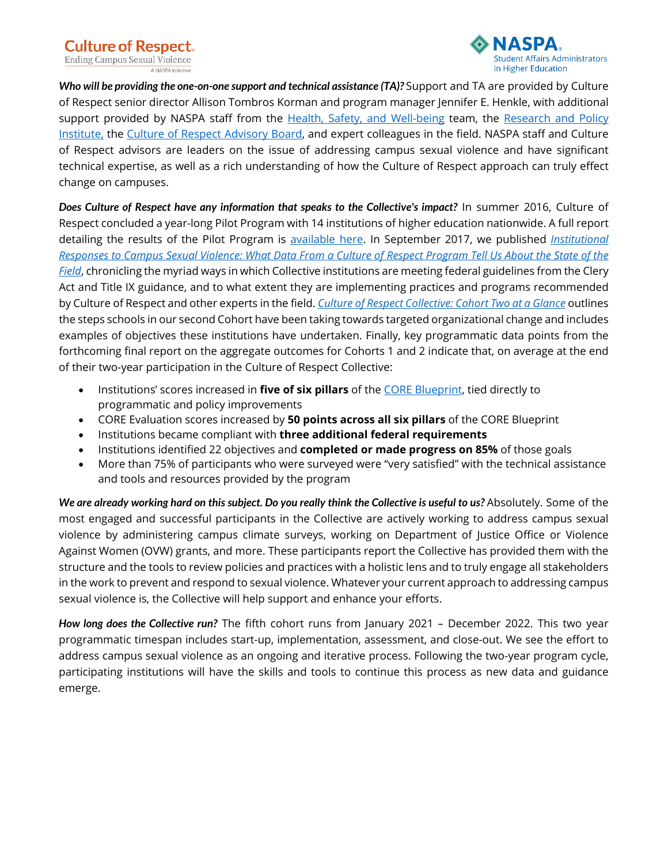

Who will be providing the one-on-one support and technical assistance (TA)? Support and TA are provided by Culture of Respect senior director Allison Tombros Korman and program manager Jennifer E. Henkle, with additional support provided by NASPA staff from the Health, Safety, [and Well-being](https://naspa.org/focus-areas/health-safety-and-well-being) team, the Research and Policy [Institute,](https://www.naspa.org/focus-areas/policy-and-advocacy) the [Culture of Respect Advisory Board,](http://cultureofrespect.org/about-us/#board) and expert colleagues in the field. NASPA staff and Culture of Respect advisors are leaders on the issue of addressing campus sexual violence and have significant technical expertise, as well as a rich understanding of how the Culture of Respect approach can truly effect change on campuses.

*Does Culture of Respect have any information that speaks to the Collective's impact?* In summer 2016, Culture of Respect concluded a year-long Pilot Program with 14 institutions of higher education nationwide. A full report detailing the results of the Pilot Program is [available here.](https://www.naspa.org/book/culture-of-respect-core-blueprint-program-findings-from-a-national-pilot-study) In September 2017, we published *[Institutional](https://www.naspa.org/book/institutional-responses-to-sexual-violence)  [Responses to Campus Sexual Violence: What Data From a Culture of Respect Program Tell Us About the State of the](https://www.naspa.org/book/institutional-responses-to-sexual-violence)  [Field](https://www.naspa.org/book/institutional-responses-to-sexual-violence)*, chronicling the myriad ways in which Collective institutions are meeting federal guidelines from the Clery Act and Title IX guidance, and to what extent they are implementing practices and programs recommended by Culture of Respect and other experts in the field. *[Culture of Respect Collective: Cohort Two at](https://www.naspa.org/images/uploads/events/CollectiveCohort2Glance.pdf) a Glance* outlines the steps schools in our second Cohort have been taking towards targeted organizational change and includes examples of objectives these institutions have undertaken. Finally, key programmatic data points from the forthcoming final report on the aggregate outcomes for Cohorts 1 and 2 indicate that, on average at the end of their two-year participation in the Culture of Respect Collective:

- Institutions' scores increased in **five of six pillars** of the [CORE Blueprint,](https://www.naspa.org/book/culture-of-respect-core-blueprint-2nd-ed) tied directly to programmatic and policy improvements
- CORE Evaluation scores increased by **50 points across all six pillars** of the CORE Blueprint
- Institutions became compliant with **three additional federal requirements**
- Institutions identified 22 objectives and **completed or made progress on 85%** of those goals
- More than 75% of participants who were surveyed were "very satisfied" with the technical assistance and tools and resources provided by the program

We are already working hard on this subject. Do you really think the Collective is useful to us? Absolutely. Some of the most engaged and successful participants in the Collective are actively working to address campus sexual violence by administering campus climate surveys, working on Department of Justice Office or Violence Against Women (OVW) grants, and more. These participants report the Collective has provided them with the structure and the tools to review policies and practices with a holistic lens and to truly engage all stakeholders in the work to prevent and respond to sexual violence. Whatever your current approach to addressing campus sexual violence is, the Collective will help support and enhance your efforts.

*How long does the Collective run?* The fifth cohort runs from January 2021 – December 2022. This two year programmatic timespan includes start-up, implementation, assessment, and close-out. We see the effort to address campus sexual violence as an ongoing and iterative process. Following the two-year program cycle, participating institutions will have the skills and tools to continue this process as new data and guidance emerge.